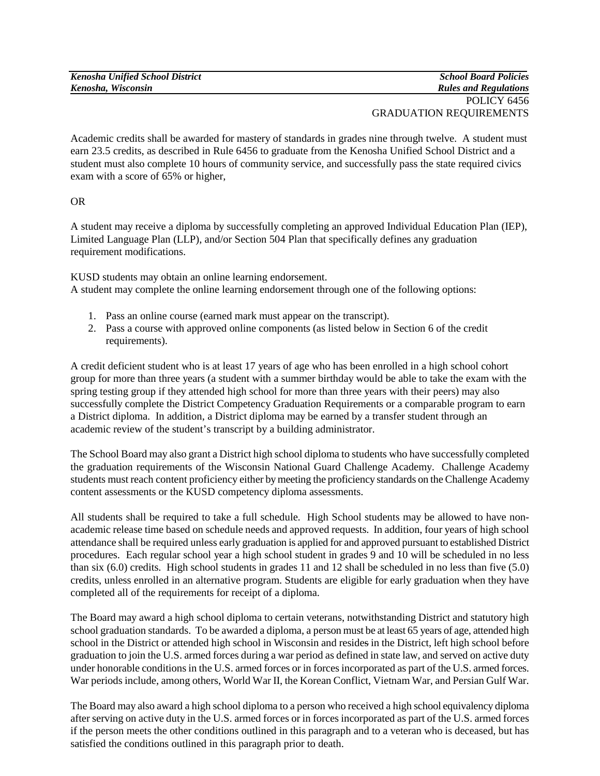| <b>Kenosha Unified School District</b> | <b>School Board Policies</b> |
|----------------------------------------|------------------------------|
| Kenosha, Wisconsin                     | <b>Rules and Regulations</b> |
|                                        | POLICY 6456                  |

GRADUATION REQUIREMENTS

Academic credits shall be awarded for mastery of standards in grades nine through twelve. A student must earn 23.5 credits, as described in Rule 6456 to graduate from the Kenosha Unified School District and a student must also complete 10 hours of community service, and successfully pass the state required civics exam with a score of 65% or higher,

OR

A student may receive a diploma by successfully completing an approved Individual Education Plan (IEP), Limited Language Plan (LLP), and/or Section 504 Plan that specifically defines any graduation requirement modifications.

KUSD students may obtain an online learning endorsement. A student may complete the online learning endorsement through one of the following options:

- 1. Pass an online course (earned mark must appear on the transcript).
- 2. Pass a course with approved online components (as listed below in Section 6 of the credit requirements).

A credit deficient student who is at least 17 years of age who has been enrolled in a high school cohort group for more than three years (a student with a summer birthday would be able to take the exam with the spring testing group if they attended high school for more than three years with their peers) may also successfully complete the District Competency Graduation Requirements or a comparable program to earn a District diploma. In addition, a District diploma may be earned by a transfer student through an academic review of the student's transcript by a building administrator.

The School Board may also grant a District high school diploma to students who have successfully completed the graduation requirements of the Wisconsin National Guard Challenge Academy. Challenge Academy students must reach content proficiency either by meeting the proficiency standards on the Challenge Academy content assessments or the KUSD competency diploma assessments.

All students shall be required to take a full schedule. High School students may be allowed to have nonacademic release time based on schedule needs and approved requests. In addition, four years of high school attendance shall be required unless early graduation is applied for and approved pursuant to established District procedures. Each regular school year a high school student in grades 9 and 10 will be scheduled in no less than six (6.0) credits. High school students in grades 11 and 12 shall be scheduled in no less than five (5.0) credits, unless enrolled in an alternative program. Students are eligible for early graduation when they have completed all of the requirements for receipt of a diploma.

The Board may award a high school diploma to certain veterans, notwithstanding District and statutory high school graduation standards. To be awarded a diploma, a person must be at least 65 years of age, attended high school in the District or attended high school in Wisconsin and resides in the District, left high school before graduation to join the U.S. armed forces during a war period as defined in state law, and served on active duty under honorable conditions in the U.S. armed forces or in forces incorporated as part of the U.S. armed forces. War periods include, among others, World War II, the Korean Conflict, Vietnam War, and Persian Gulf War.

The Board may also award a high school diploma to a person who received a high school equivalency diploma after serving on active duty in the U.S. armed forces or in forces incorporated as part of the U.S. armed forces if the person meets the other conditions outlined in this paragraph and to a veteran who is deceased, but has satisfied the conditions outlined in this paragraph prior to death.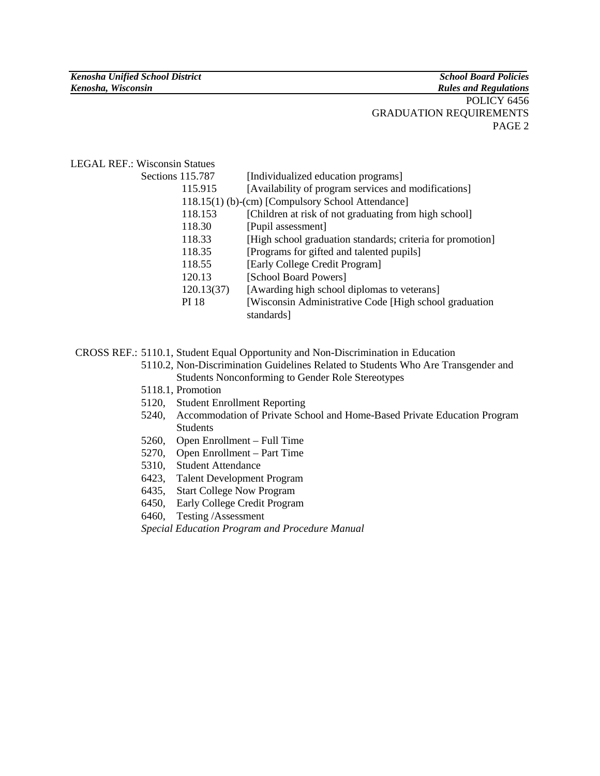#### POLICY 6456 GRADUATION REQUIREMENTS PAGE 2

### LEGAL REF.: Wisconsin Statues

| Sections 115.787                                  | [Individualized education programs]                        |
|---------------------------------------------------|------------------------------------------------------------|
| 115.915                                           | [Availability of program services and modifications]       |
| 118.15(1) (b)-(cm) [Compulsory School Attendance] |                                                            |
| 118.153                                           | [Children at risk of not graduating from high school]      |
| 118.30                                            | [Pupil assessment]                                         |
| 118.33                                            | [High school graduation standards; criteria for promotion] |
| 118.35                                            | [Programs for gifted and talented pupils]                  |
| 118.55                                            | [Early College Credit Program]                             |
| 120.13                                            | [School Board Powers]                                      |
| 120.13(37)                                        | [Awarding high school diplomas to veterans]                |
| PI 18                                             | [Wisconsin Administrative Code [High school graduation]    |
|                                                   | standards]                                                 |

CROSS REF.: 5110.1, Student Equal Opportunity and Non-Discrimination in Education

- 5110.2, Non-Discrimination Guidelines Related to Students Who Are Transgender and Students Nonconforming to Gender Role Stereotypes
- 5118.1, Promotion
- 5120, Student Enrollment Reporting
- 5240, Accommodation of Private School and Home-Based Private Education Program Students
- 5260, Open Enrollment Full Time
- 5270, Open Enrollment Part Time
- 5310, Student Attendance
- 6423, Talent Development Program
- 6435, Start College Now Program
- 6450, Early College Credit Program
- 6460, Testing /Assessment

*Special Education Program and Procedure Manual*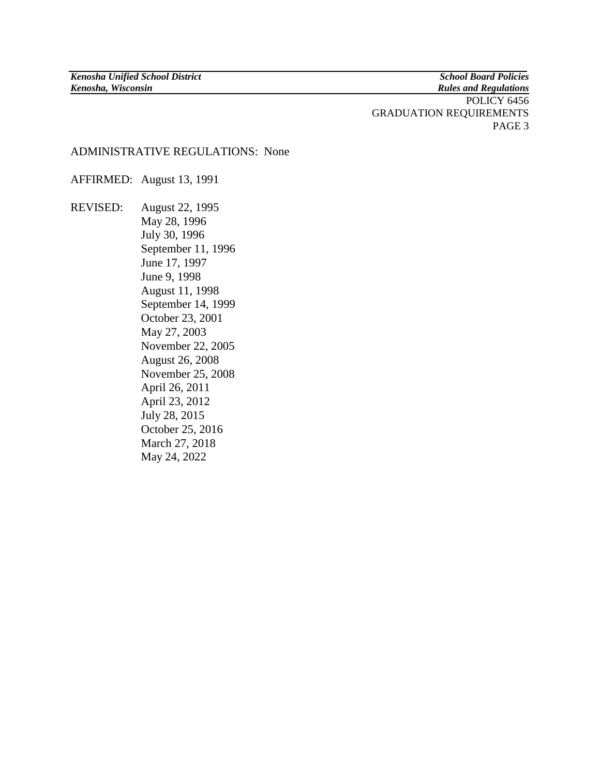**Rules and Regulations** 

POLICY 6456 GRADUATION REQUIREMENTS PAGE 3

### ADMINISTRATIVE REGULATIONS: None

AFFIRMED: August 13, 1991

REVISED: August 22, 1995 May 28, 1996 July 30, 1996 September 11, 1996 June 17, 1997 June 9, 1998 August 11, 1998 September 14, 1999 October 23, 2001 May 27, 2003 November 22, 2005 August 26, 2008 November 25, 2008 April 26, 2011 April 23, 2012 July 28, 2015 October 25, 2016 March 27, 2018 May 24, 2022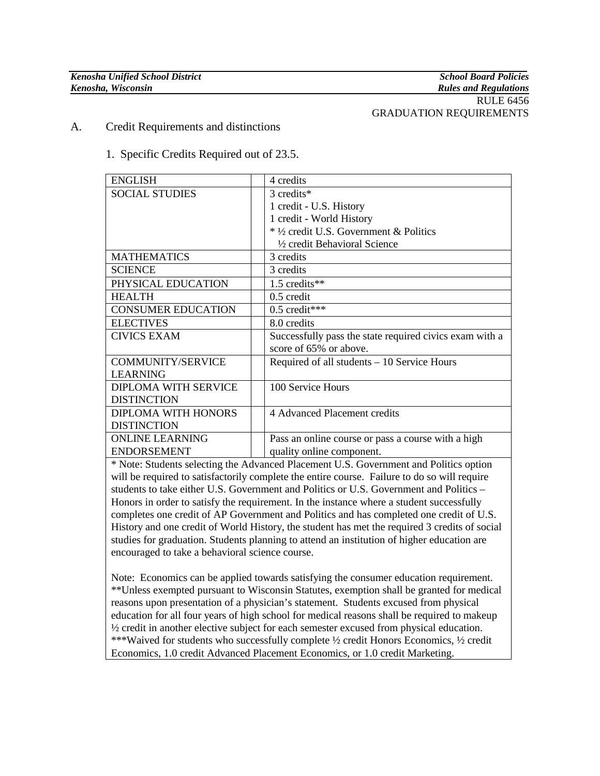# GRADUATION REQUIREMENTS

A. Credit Requirements and distinctions

### 1. Specific Credits Required out of 23.5.

| <b>ENGLISH</b>              | 4 credits                                               |
|-----------------------------|---------------------------------------------------------|
| <b>SOCIAL STUDIES</b>       | 3 credits*                                              |
|                             | 1 credit - U.S. History                                 |
|                             | 1 credit - World History                                |
|                             | * 1/2 credit U.S. Government & Politics                 |
|                             | 1/2 credit Behavioral Science                           |
| <b>MATHEMATICS</b>          | 3 credits                                               |
| <b>SCIENCE</b>              | 3 credits                                               |
| PHYSICAL EDUCATION          | 1.5 credits**                                           |
| <b>HEALTH</b>               | $0.5$ credit                                            |
| <b>CONSUMER EDUCATION</b>   | $0.5$ credit***                                         |
| <b>ELECTIVES</b>            | 8.0 credits                                             |
| <b>CIVICS EXAM</b>          | Successfully pass the state required civics exam with a |
|                             | score of 65% or above.                                  |
| <b>COMMUNITY/SERVICE</b>    | Required of all students – 10 Service Hours             |
| <b>LEARNING</b>             |                                                         |
| <b>DIPLOMA WITH SERVICE</b> | 100 Service Hours                                       |
| <b>DISTINCTION</b>          |                                                         |
| DIPLOMA WITH HONORS         | 4 Advanced Placement credits                            |
| <b>DISTINCTION</b>          |                                                         |
| <b>ONLINE LEARNING</b>      | Pass an online course or pass a course with a high      |
| <b>ENDORSEMENT</b>          | quality online component.                               |

\* Note: Students selecting the Advanced Placement U.S. Government and Politics option will be required to satisfactorily complete the entire course. Failure to do so will require students to take either U.S. Government and Politics or U.S. Government and Politics – Honors in order to satisfy the requirement. In the instance where a student successfully completes one credit of AP Government and Politics and has completed one credit of U.S. History and one credit of World History, the student has met the required 3 credits of social studies for graduation. Students planning to attend an institution of higher education are encouraged to take a behavioral science course.

Note: Economics can be applied towards satisfying the consumer education requirement. \*\*Unless exempted pursuant to Wisconsin Statutes, exemption shall be granted for medical reasons upon presentation of a physician's statement. Students excused from physical education for all four years of high school for medical reasons shall be required to makeup ½ credit in another elective subject for each semester excused from physical education. \*\*\*Waived for students who successfully complete ½ credit Honors Economics, ½ credit Economics, 1.0 credit Advanced Placement Economics, or 1.0 credit Marketing.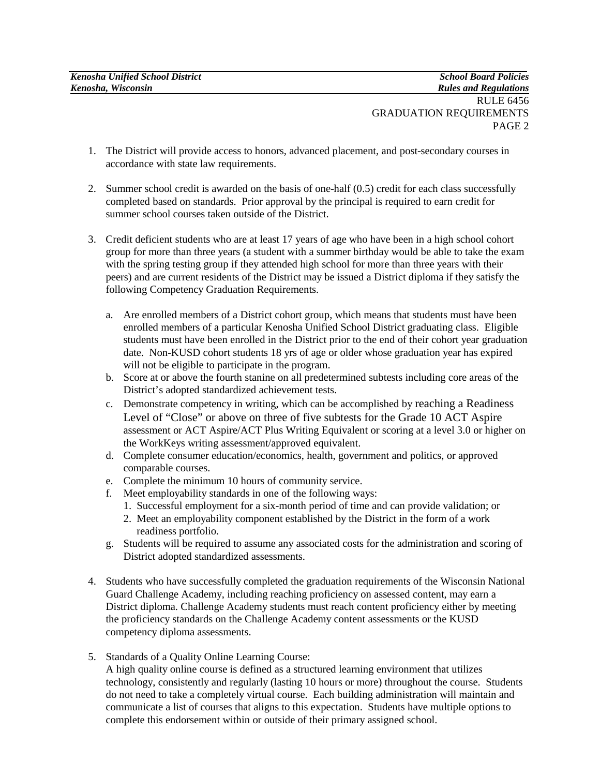- 1. The District will provide access to honors, advanced placement, and post-secondary courses in accordance with state law requirements.
- 2. Summer school credit is awarded on the basis of one-half (0.5) credit for each class successfully completed based on standards. Prior approval by the principal is required to earn credit for summer school courses taken outside of the District.
- 3. Credit deficient students who are at least 17 years of age who have been in a high school cohort group for more than three years (a student with a summer birthday would be able to take the exam with the spring testing group if they attended high school for more than three years with their peers) and are current residents of the District may be issued a District diploma if they satisfy the following Competency Graduation Requirements.
	- a. Are enrolled members of a District cohort group, which means that students must have been enrolled members of a particular Kenosha Unified School District graduating class. Eligible students must have been enrolled in the District prior to the end of their cohort year graduation date. Non-KUSD cohort students 18 yrs of age or older whose graduation year has expired will not be eligible to participate in the program.
	- b. Score at or above the fourth stanine on all predetermined subtests including core areas of the District's adopted standardized achievement tests.
	- c. Demonstrate competency in writing, which can be accomplished by reaching a Readiness Level of "Close" or above on three of five subtests for the Grade 10 ACT Aspire assessment or ACT Aspire/ACT Plus Writing Equivalent or scoring at a level 3.0 or higher on the WorkKeys writing assessment/approved equivalent.
	- d. Complete consumer education/economics, health, government and politics, or approved comparable courses.
	- e. Complete the minimum 10 hours of community service.
	- f. Meet employability standards in one of the following ways:
		- 1. Successful employment for a six-month period of time and can provide validation; or
		- 2. Meet an employability component established by the District in the form of a work readiness portfolio.
	- g. Students will be required to assume any associated costs for the administration and scoring of District adopted standardized assessments.
- 4. Students who have successfully completed the graduation requirements of the Wisconsin National Guard Challenge Academy, including reaching proficiency on assessed content, may earn a District diploma. Challenge Academy students must reach content proficiency either by meeting the proficiency standards on the Challenge Academy content assessments or the KUSD competency diploma assessments.
- 5. Standards of a Quality Online Learning Course:

A high quality online course is defined as a structured learning environment that utilizes technology, consistently and regularly (lasting 10 hours or more) throughout the course. Students do not need to take a completely virtual course. Each building administration will maintain and communicate a list of courses that aligns to this expectation. Students have multiple options to complete this endorsement within or outside of their primary assigned school.